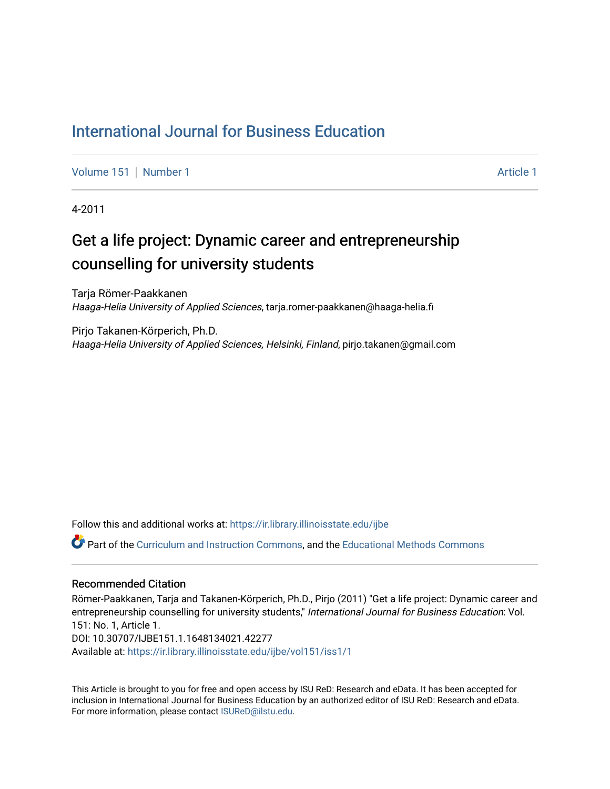#### [International Journal for Business Education](https://ir.library.illinoisstate.edu/ijbe)

[Volume 151](https://ir.library.illinoisstate.edu/ijbe/vol151) | [Number 1](https://ir.library.illinoisstate.edu/ijbe/vol151/iss1) [Article 1](https://ir.library.illinoisstate.edu/ijbe/vol151/iss1/1) Article 1 Article 1 Article 1 Article 1 Article 1

4-2011

## Get a life project: Dynamic career and entrepreneurship counselling for university students

Tarja Römer-Paakkanen Haaga-Helia University of Applied Sciences, tarja.romer-paakkanen@haaga-helia.fi

Pirjo Takanen-Körperich, Ph.D. Haaga-Helia University of Applied Sciences, Helsinki, Finland, pirjo.takanen@gmail.com

Follow this and additional works at: [https://ir.library.illinoisstate.edu/ijbe](https://ir.library.illinoisstate.edu/ijbe?utm_source=ir.library.illinoisstate.edu%2Fijbe%2Fvol151%2Fiss1%2F1&utm_medium=PDF&utm_campaign=PDFCoverPages)

Part of the [Curriculum and Instruction Commons,](http://network.bepress.com/hgg/discipline/786?utm_source=ir.library.illinoisstate.edu%2Fijbe%2Fvol151%2Fiss1%2F1&utm_medium=PDF&utm_campaign=PDFCoverPages) and the [Educational Methods Commons](http://network.bepress.com/hgg/discipline/1227?utm_source=ir.library.illinoisstate.edu%2Fijbe%2Fvol151%2Fiss1%2F1&utm_medium=PDF&utm_campaign=PDFCoverPages)

#### Recommended Citation

Römer-Paakkanen, Tarja and Takanen-Körperich, Ph.D., Pirjo (2011) "Get a life project: Dynamic career and entrepreneurship counselling for university students," International Journal for Business Education: Vol. 151: No. 1, Article 1. DOI: 10.30707/IJBE151.1.1648134021.42277 Available at: [https://ir.library.illinoisstate.edu/ijbe/vol151/iss1/1](https://ir.library.illinoisstate.edu/ijbe/vol151/iss1/1?utm_source=ir.library.illinoisstate.edu%2Fijbe%2Fvol151%2Fiss1%2F1&utm_medium=PDF&utm_campaign=PDFCoverPages) 

This Article is brought to you for free and open access by ISU ReD: Research and eData. It has been accepted for inclusion in International Journal for Business Education by an authorized editor of ISU ReD: Research and eData. For more information, please contact [ISUReD@ilstu.edu.](mailto:ISUReD@ilstu.edu)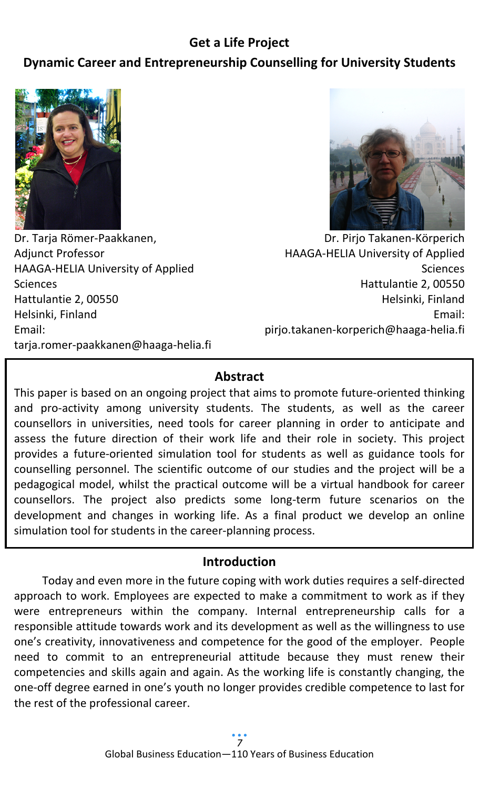# **Get a Life Project**

# **Dynamic Career and Entrepreneurship Counselling for University Students**



Dr. Tarja Römer-Paakkanen, Adjunct Professor HAAGA-HELIA University of Applied Sciences Hattulantie 2, 00550 Helsinki, Finland Email: tarja.romer-paakkanen@haaga-helia.fi



Dr. Pirjo Takanen-Körperich HAAGA-HELIA University of Applied **Sciences** Hattulantie 2, 00550 Helsinki, Finland Email: pirjo.takanen-korperich@haaga-helia.fi

## **Abstract**

This paper is based on an ongoing project that aims to promote future-oriented thinking and pro-activity among university students. The students, as well as the career counsellors in universities, need tools for career planning in order to anticipate and assess the future direction of their work life and their role in society. This project provides a future-oriented simulation tool for students as well as guidance tools for counselling personnel. The scientific outcome of our studies and the project will be a pedagogical model, whilst the practical outcome will be a virtual handbook for career counsellors. The project also predicts some long-term future scenarios on the development and changes in working life. As a final product we develop an online simulation tool for students in the career-planning process.

## **Introduction**

Today and even more in the future coping with work duties requires a self-directed approach to work. Employees are expected to make a commitment to work as if they were entrepreneurs within the company. Internal entrepreneurship calls for a responsible attitude towards work and its development as well as the willingness to use one's creativity, innovativeness and competence for the good of the employer. People need to commit to an entrepreneurial attitude because they must renew their competencies and skills again and again. As the working life is constantly changing, the one-off degree earned in one's youth no longer provides credible competence to last for the rest of the professional career.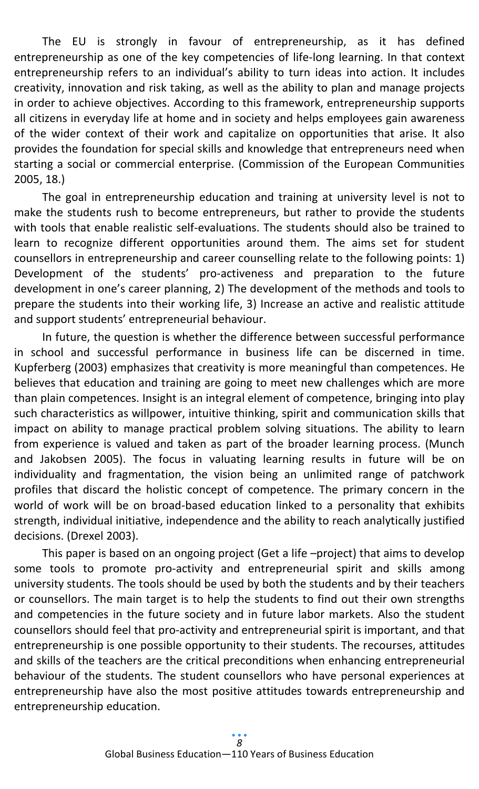The EU is strongly in favour of entrepreneurship, as it has defined entrepreneurship as one of the key competencies of life-long learning. In that context entrepreneurship refers to an individual's ability to turn ideas into action. It includes creativity, innovation and risk taking, as well as the ability to plan and manage projects in order to achieve objectives. According to this framework, entrepreneurship supports all citizens in everyday life at home and in society and helps employees gain awareness of the wider context of their work and capitalize on opportunities that arise. It also provides the foundation for special skills and knowledge that entrepreneurs need when starting a social or commercial enterprise. (Commission of the European Communities 2005, 18.)

The goal in entrepreneurship education and training at university level is not to make the students rush to become entrepreneurs, but rather to provide the students with tools that enable realistic self-evaluations. The students should also be trained to learn to recognize different opportunities around them. The aims set for student counsellors in entrepreneurship and career counselling relate to the following points: 1) Development of the students' pro-activeness and preparation to the future development in one's career planning, 2) The development of the methods and tools to prepare the students into their working life, 3) Increase an active and realistic attitude and support students' entrepreneurial behaviour.

In future, the question is whether the difference between successful performance in school and successful performance in business life can be discerned in time. Kupferberg (2003) emphasizes that creativity is more meaningful than competences. He believes that education and training are going to meet new challenges which are more than plain competences. Insight is an integral element of competence, bringing into play such characteristics as willpower, intuitive thinking, spirit and communication skills that impact on ability to manage practical problem solving situations. The ability to learn from experience is valued and taken as part of the broader learning process. (Munch and Jakobsen 2005). The focus in valuating learning results in future will be on individuality and fragmentation, the vision being an unlimited range of patchwork profiles that discard the holistic concept of competence. The primary concern in the world of work will be on broad-based education linked to a personality that exhibits strength, individual initiative, independence and the ability to reach analytically justified decisions. (Drexel 2003).

This paper is based on an ongoing project (Get a life –project) that aims to develop some tools to promote pro-activity and entrepreneurial spirit and skills among university students. The tools should be used by both the students and by their teachers or counsellors. The main target is to help the students to find out their own strengths and competencies in the future society and in future labor markets. Also the student counsellors should feel that pro-activity and entrepreneurial spirit is important, and that entrepreneurship is one possible opportunity to their students. The recourses, attitudes and skills of the teachers are the critical preconditions when enhancing entrepreneurial behaviour of the students. The student counsellors who have personal experiences at entrepreneurship have also the most positive attitudes towards entrepreneurship and entrepreneurship education.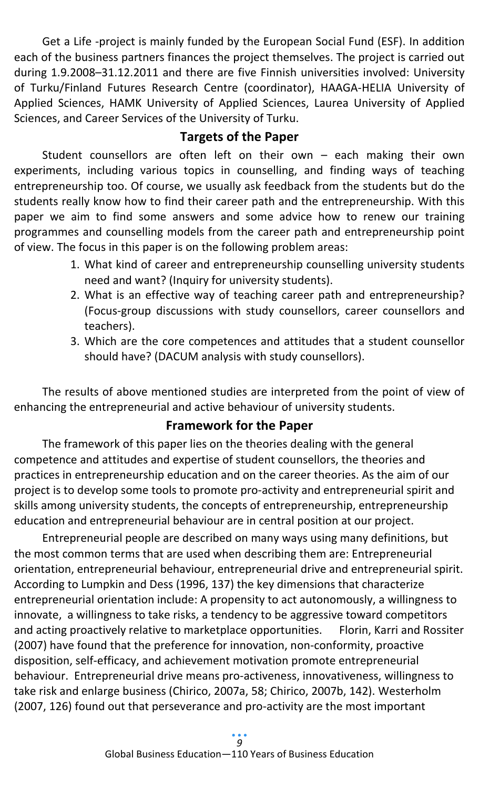Get a Life -project is mainly funded by the European Social Fund (ESF). In addition each of the business partners finances the project themselves. The project is carried out during 1.9.2008–31.12.2011 and there are five Finnish universities involved: University of Turku/Finland Futures Research Centre (coordinator), HAAGA-HELIA University of Applied Sciences, HAMK University of Applied Sciences, Laurea University of Applied Sciences, and Career Services of the University of Turku.

## **Targets of the Paper**

Student counsellors are often left on their own – each making their own experiments, including various topics in counselling, and finding ways of teaching entrepreneurship too. Of course, we usually ask feedback from the students but do the students really know how to find their career path and the entrepreneurship. With this paper we aim to find some answers and some advice how to renew our training programmes and counselling models from the career path and entrepreneurship point of view. The focus in this paper is on the following problem areas:

- 1. What kind of career and entrepreneurship counselling university students need and want? (Inquiry for university students).
- 2. What is an effective way of teaching career path and entrepreneurship? (Focus-group discussions with study counsellors, career counsellors and teachers).
- 3. Which are the core competences and attitudes that a student counsellor should have? (DACUM analysis with study counsellors).

The results of above mentioned studies are interpreted from the point of view of enhancing the entrepreneurial and active behaviour of university students.

## **Framework for the Paper**

The framework of this paper lies on the theories dealing with the general competence and attitudes and expertise of student counsellors, the theories and practices in entrepreneurship education and on the career theories. As the aim of our project is to develop some tools to promote pro-activity and entrepreneurial spirit and skills among university students, the concepts of entrepreneurship, entrepreneurship education and entrepreneurial behaviour are in central position at our project.

Entrepreneurial people are described on many ways using many definitions, but the most common terms that are used when describing them are: Entrepreneurial orientation, entrepreneurial behaviour, entrepreneurial drive and entrepreneurial spirit. According to Lumpkin and Dess (1996, 137) the key dimensions that characterize entrepreneurial orientation include: A propensity to act autonomously, a willingness to innovate, a willingness to take risks, a tendency to be aggressive toward competitors and acting proactively relative to marketplace opportunities. Florin, Karri and Rossiter (2007) have found that the preference for innovation, non-conformity, proactive disposition, self-efficacy, and achievement motivation promote entrepreneurial behaviour. Entrepreneurial drive means pro-activeness, innovativeness, willingness to take risk and enlarge business (Chirico, 2007a, 58; Chirico, 2007b, 142). Westerholm (2007, 126) found out that perseverance and pro-activity are the most important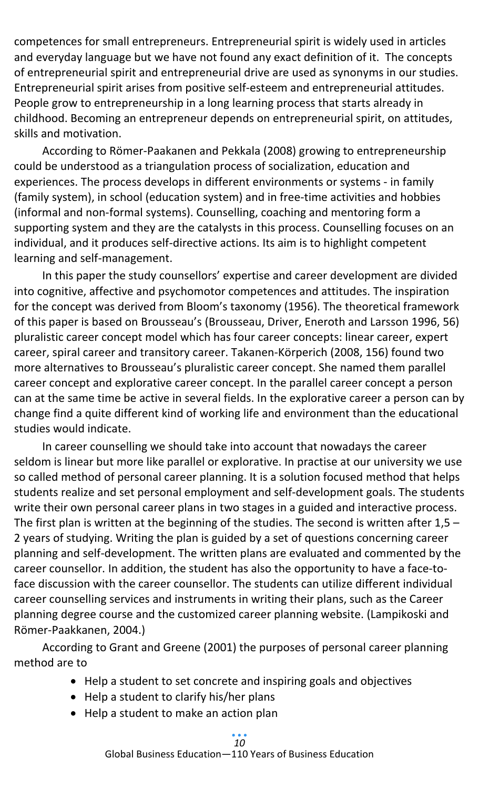competences for small entrepreneurs. Entrepreneurial spirit is widely used in articles and everyday language but we have not found any exact definition of it. The concepts of entrepreneurial spirit and entrepreneurial drive are used as synonyms in our studies. Entrepreneurial spirit arises from positive self-esteem and entrepreneurial attitudes. People grow to entrepreneurship in a long learning process that starts already in childhood. Becoming an entrepreneur depends on entrepreneurial spirit, on attitudes, skills and motivation.

According to Römer-Paakanen and Pekkala (2008) growing to entrepreneurship could be understood as a triangulation process of socialization, education and experiences. The process develops in different environments or systems - in family (family system), in school (education system) and in free-time activities and hobbies (informal and non-formal systems). Counselling, coaching and mentoring form a supporting system and they are the catalysts in this process. Counselling focuses on an individual, and it produces self-directive actions. Its aim is to highlight competent learning and self-management.

In this paper the study counsellors' expertise and career development are divided into cognitive, affective and psychomotor competences and attitudes. The inspiration for the concept was derived from Bloom's taxonomy (1956). The theoretical framework of this paper is based on Brousseau's (Brousseau, Driver, Eneroth and Larsson 1996, 56) pluralistic career concept model which has four career concepts: linear career, expert career, spiral career and transitory career. Takanen-Körperich (2008, 156) found two more alternatives to Brousseau's pluralistic career concept. She named them parallel career concept and explorative career concept. In the parallel career concept a person can at the same time be active in several fields. In the explorative career a person can by change find a quite different kind of working life and environment than the educational studies would indicate.

In career counselling we should take into account that nowadays the career seldom is linear but more like parallel or explorative. In practise at our university we use so called method of personal career planning. It is a solution focused method that helps students realize and set personal employment and self-development goals. The students write their own personal career plans in two stages in a guided and interactive process. The first plan is written at the beginning of the studies. The second is written after  $1,5 -$ 2 years of studying. Writing the plan is guided by a set of questions concerning career planning and self-development. The written plans are evaluated and commented by the career counsellor. In addition, the student has also the opportunity to have a face-toface discussion with the career counsellor. The students can utilize different individual career counselling services and instruments in writing their plans, such as the Career planning degree course and the customized career planning website. (Lampikoski and Römer-Paakkanen, 2004.)

According to Grant and Greene (2001) the purposes of personal career planning method are to

- Help a student to set concrete and inspiring goals and objectives
- Help a student to clarify his/her plans
- Help a student to make an action plan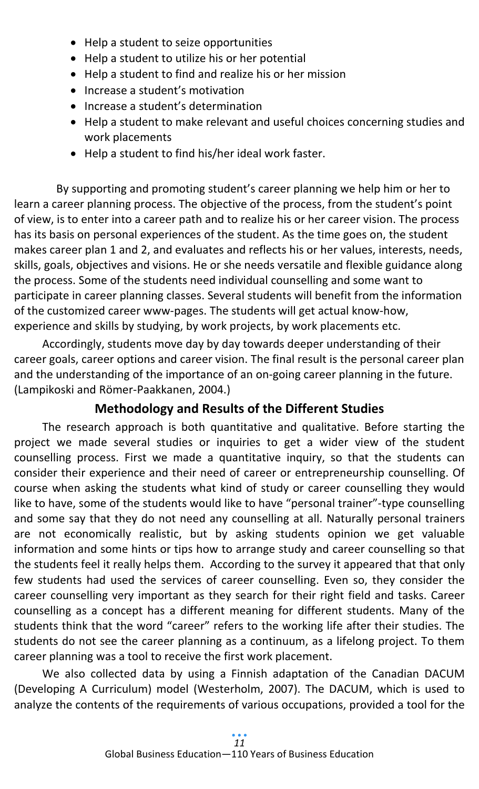- Help a student to seize opportunities
- Help a student to utilize his or her potential
- Help a student to find and realize his or her mission
- Increase a student's motivation
- Increase a student's determination
- Help a student to make relevant and useful choices concerning studies and work placements
- Help a student to find his/her ideal work faster.

 By supporting and promoting student's career planning we help him or her to learn a career planning process. The objective of the process, from the student's point of view, is to enter into a career path and to realize his or her career vision. The process has its basis on personal experiences of the student. As the time goes on, the student makes career plan 1 and 2, and evaluates and reflects his or her values, interests, needs, skills, goals, objectives and visions. He or she needs versatile and flexible guidance along the process. Some of the students need individual counselling and some want to participate in career planning classes. Several students will benefit from the information of the customized career www-pages. The students will get actual know-how, experience and skills by studying, by work projects, by work placements etc.

Accordingly, students move day by day towards deeper understanding of their career goals, career options and career vision. The final result is the personal career plan and the understanding of the importance of an on-going career planning in the future. (Lampikoski and Römer-Paakkanen, 2004.)

# **Methodology and Results of the Different Studies**

The research approach is both quantitative and qualitative. Before starting the project we made several studies or inquiries to get a wider view of the student counselling process. First we made a quantitative inquiry, so that the students can consider their experience and their need of career or entrepreneurship counselling. Of course when asking the students what kind of study or career counselling they would like to have, some of the students would like to have "personal trainer"-type counselling and some say that they do not need any counselling at all. Naturally personal trainers are not economically realistic, but by asking students opinion we get valuable information and some hints or tips how to arrange study and career counselling so that the students feel it really helps them. According to the survey it appeared that that only few students had used the services of career counselling. Even so, they consider the career counselling very important as they search for their right field and tasks. Career counselling as a concept has a different meaning for different students. Many of the students think that the word "career" refers to the working life after their studies. The students do not see the career planning as a continuum, as a lifelong project. To them career planning was a tool to receive the first work placement.

We also collected data by using a Finnish adaptation of the Canadian DACUM (Developing A Curriculum) model (Westerholm, 2007). The DACUM, which is used to analyze the contents of the requirements of various occupations, provided a tool for the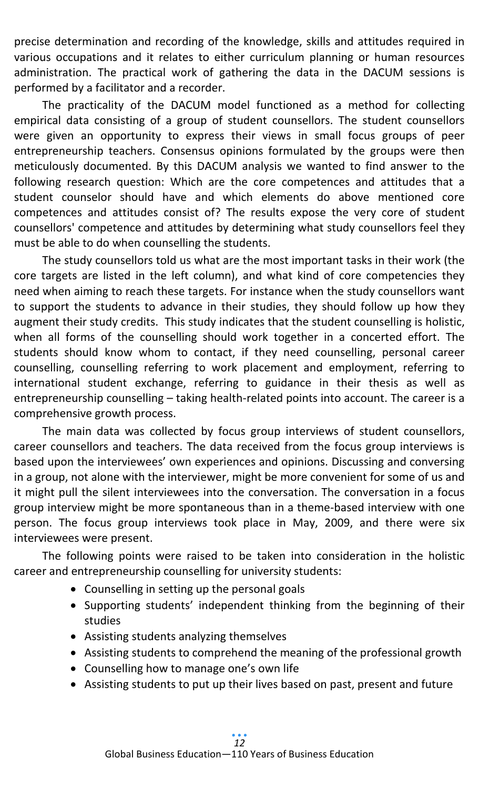precise determination and recording of the knowledge, skills and attitudes required in various occupations and it relates to either curriculum planning or human resources administration. The practical work of gathering the data in the DACUM sessions is performed by a facilitator and a recorder.

The practicality of the DACUM model functioned as a method for collecting empirical data consisting of a group of student counsellors. The student counsellors were given an opportunity to express their views in small focus groups of peer entrepreneurship teachers. Consensus opinions formulated by the groups were then meticulously documented. By this DACUM analysis we wanted to find answer to the following research question: Which are the core competences and attitudes that a student counselor should have and which elements do above mentioned core competences and attitudes consist of? The results expose the very core of student counsellors' competence and attitudes by determining what study counsellors feel they must be able to do when counselling the students.

The study counsellors told us what are the most important tasks in their work (the core targets are listed in the left column), and what kind of core competencies they need when aiming to reach these targets. For instance when the study counsellors want to support the students to advance in their studies, they should follow up how they augment their study credits. This study indicates that the student counselling is holistic, when all forms of the counselling should work together in a concerted effort. The students should know whom to contact, if they need counselling, personal career counselling, counselling referring to work placement and employment, referring to international student exchange, referring to guidance in their thesis as well as entrepreneurship counselling – taking health-related points into account. The career is a comprehensive growth process.

The main data was collected by focus group interviews of student counsellors, career counsellors and teachers. The data received from the focus group interviews is based upon the interviewees' own experiences and opinions. Discussing and conversing in a group, not alone with the interviewer, might be more convenient for some of us and it might pull the silent interviewees into the conversation. The conversation in a focus group interview might be more spontaneous than in a theme-based interview with one person. The focus group interviews took place in May, 2009, and there were six interviewees were present.

The following points were raised to be taken into consideration in the holistic career and entrepreneurship counselling for university students:

- Counselling in setting up the personal goals
- Supporting students' independent thinking from the beginning of their studies
- Assisting students analyzing themselves
- Assisting students to comprehend the meaning of the professional growth
- Counselling how to manage one's own life
- Assisting students to put up their lives based on past, present and future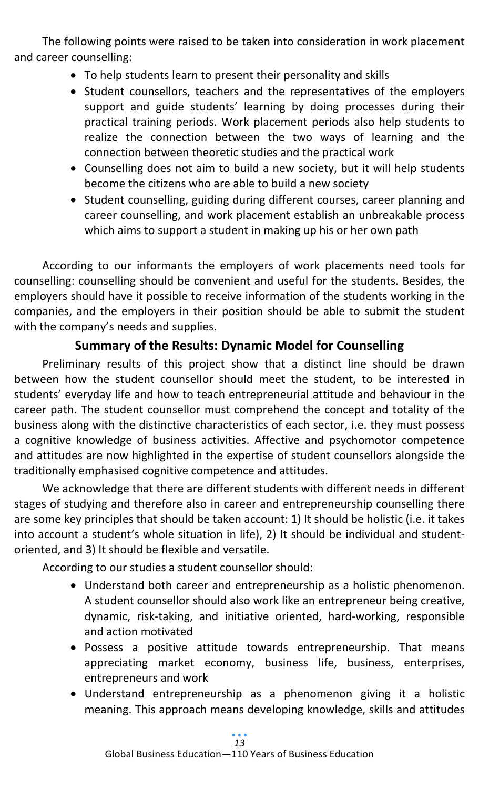The following points were raised to be taken into consideration in work placement and career counselling:

- To help students learn to present their personality and skills
- Student counsellors, teachers and the representatives of the employers support and guide students' learning by doing processes during their practical training periods. Work placement periods also help students to realize the connection between the two ways of learning and the connection between theoretic studies and the practical work
- Counselling does not aim to build a new society, but it will help students become the citizens who are able to build a new society
- Student counselling, guiding during different courses, career planning and career counselling, and work placement establish an unbreakable process which aims to support a student in making up his or her own path

According to our informants the employers of work placements need tools for counselling: counselling should be convenient and useful for the students. Besides, the employers should have it possible to receive information of the students working in the companies, and the employers in their position should be able to submit the student with the company's needs and supplies.

# **Summary of the Results: Dynamic Model for Counselling**

Preliminary results of this project show that a distinct line should be drawn between how the student counsellor should meet the student, to be interested in students' everyday life and how to teach entrepreneurial attitude and behaviour in the career path. The student counsellor must comprehend the concept and totality of the business along with the distinctive characteristics of each sector, i.e. they must possess a cognitive knowledge of business activities. Affective and psychomotor competence and attitudes are now highlighted in the expertise of student counsellors alongside the traditionally emphasised cognitive competence and attitudes.

We acknowledge that there are different students with different needs in different stages of studying and therefore also in career and entrepreneurship counselling there are some key principles that should be taken account: 1) It should be holistic (i.e. it takes into account a student's whole situation in life), 2) It should be individual and studentoriented, and 3) It should be flexible and versatile.

According to our studies a student counsellor should:

- Understand both career and entrepreneurship as a holistic phenomenon. A student counsellor should also work like an entrepreneur being creative, dynamic, risk-taking, and initiative oriented, hard-working, responsible and action motivated
- Possess a positive attitude towards entrepreneurship. That means appreciating market economy, business life, business, enterprises, entrepreneurs and work
- Understand entrepreneurship as a phenomenon giving it a holistic meaning. This approach means developing knowledge, skills and attitudes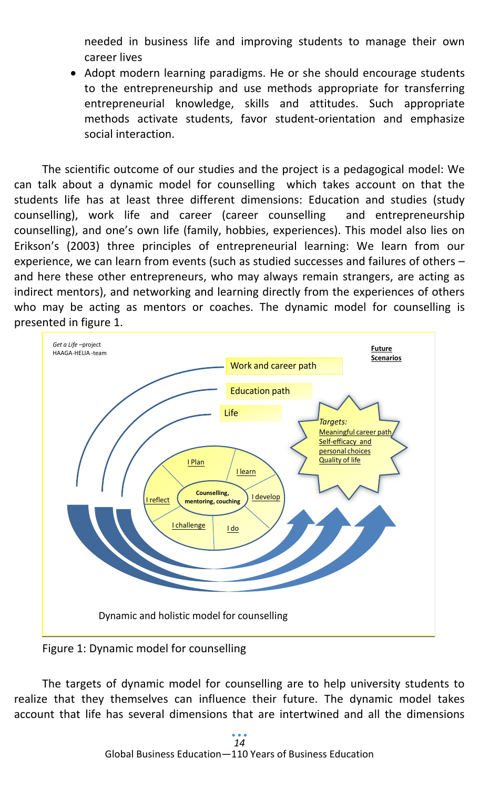needed in business life and improving students to manage their own career lives

• Adopt modern learning paradigms. He or she should encourage students to the entrepreneurship and use methods appropriate for transferring entrepreneurial knowledge, skills and attitudes. Such appropriate methods activate students, favor student-orientation and emphasize social interaction.

The scientific outcome of our studies and the project is a pedagogical model: We can talk about a dynamic model for counselling which takes account on that the students life has at least three different dimensions: Education and studies (study counselling), work life and career (career counselling and entrepreneurship counselling), and one's own life (family, hobbies, experiences). This model also lies on Erikson's (2003) three principles of entrepreneurial learning: We learn from our experience, we can learn from events (such as studied successes and failures of others – and here these other entrepreneurs, who may always remain strangers, are acting as indirect mentors), and networking and learning directly from the experiences of others who may be acting as mentors or coaches. The dynamic model for counselling is presented in figure 1.



Figure 1: Dynamic model for counselling

The targets of dynamic model for counselling are to help university students to realize that they themselves can influence their future. The dynamic model takes account that life has several dimensions that are intertwined and all the dimensions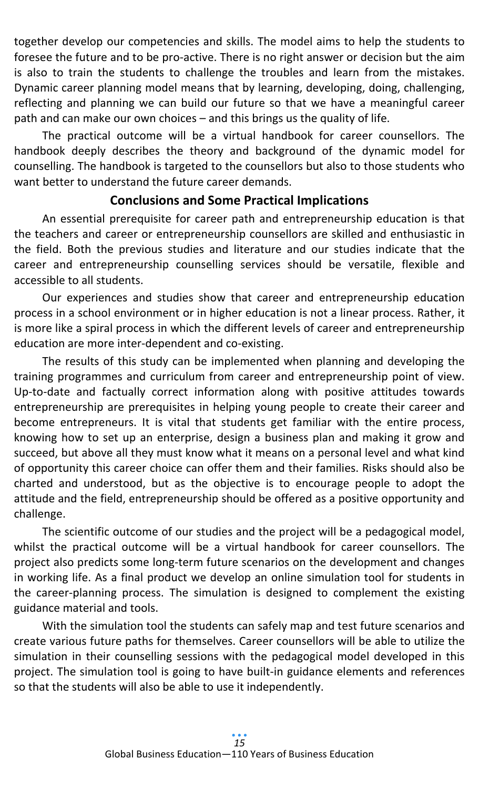together develop our competencies and skills. The model aims to help the students to foresee the future and to be pro-active. There is no right answer or decision but the aim is also to train the students to challenge the troubles and learn from the mistakes. Dynamic career planning model means that by learning, developing, doing, challenging, reflecting and planning we can build our future so that we have a meaningful career path and can make our own choices – and this brings us the quality of life.

The practical outcome will be a virtual handbook for career counsellors. The handbook deeply describes the theory and background of the dynamic model for counselling. The handbook is targeted to the counsellors but also to those students who want better to understand the future career demands.

#### **Conclusions and Some Practical Implications**

An essential prerequisite for career path and entrepreneurship education is that the teachers and career or entrepreneurship counsellors are skilled and enthusiastic in the field. Both the previous studies and literature and our studies indicate that the career and entrepreneurship counselling services should be versatile, flexible and accessible to all students.

Our experiences and studies show that career and entrepreneurship education process in a school environment or in higher education is not a linear process. Rather, it is more like a spiral process in which the different levels of career and entrepreneurship education are more inter-dependent and co-existing.

The results of this study can be implemented when planning and developing the training programmes and curriculum from career and entrepreneurship point of view. Up-to-date and factually correct information along with positive attitudes towards entrepreneurship are prerequisites in helping young people to create their career and become entrepreneurs. It is vital that students get familiar with the entire process, knowing how to set up an enterprise, design a business plan and making it grow and succeed, but above all they must know what it means on a personal level and what kind of opportunity this career choice can offer them and their families. Risks should also be charted and understood, but as the objective is to encourage people to adopt the attitude and the field, entrepreneurship should be offered as a positive opportunity and challenge.

The scientific outcome of our studies and the project will be a pedagogical model, whilst the practical outcome will be a virtual handbook for career counsellors. The project also predicts some long-term future scenarios on the development and changes in working life. As a final product we develop an online simulation tool for students in the career-planning process. The simulation is designed to complement the existing guidance material and tools.

With the simulation tool the students can safely map and test future scenarios and create various future paths for themselves. Career counsellors will be able to utilize the simulation in their counselling sessions with the pedagogical model developed in this project. The simulation tool is going to have built-in guidance elements and references so that the students will also be able to use it independently.